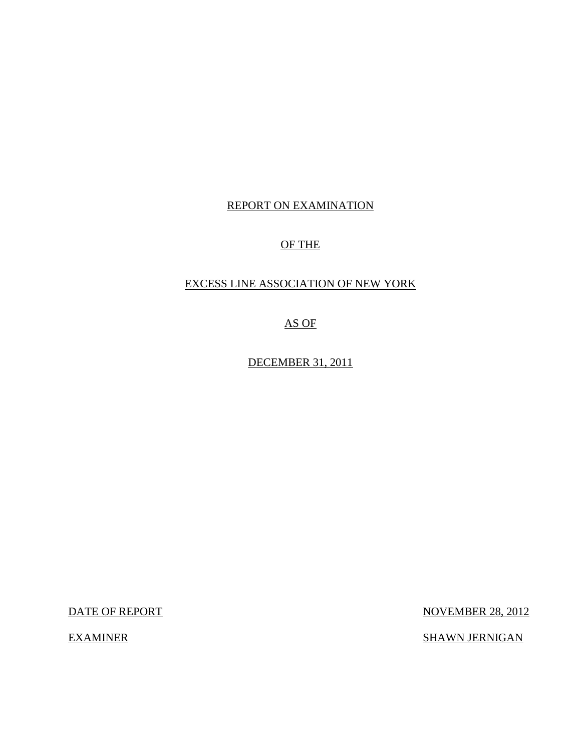## REPORT ON EXAMINATION

## OF THE

## EXCESS LINE ASSOCIATION OF NEW YORK

AS OF

DECEMBER 31, 2011

DATE OF REPORT NOVEMBER 28, 2012

EXAMINER SHAWN JERNIGAN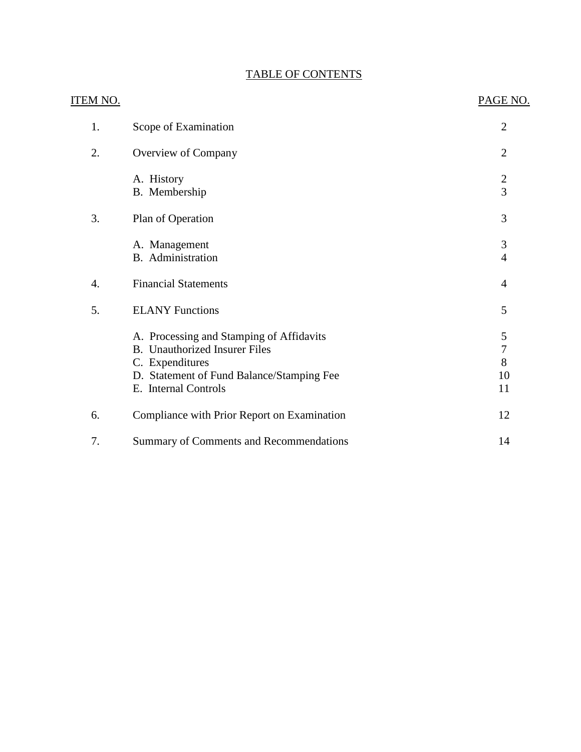## TABLE OF CONTENTS

| <b>ITEM NO.</b> |                                                                                                                                                                          | PAGE NO.                         |
|-----------------|--------------------------------------------------------------------------------------------------------------------------------------------------------------------------|----------------------------------|
| 1.              | Scope of Examination                                                                                                                                                     | $\overline{2}$                   |
| 2.              | Overview of Company                                                                                                                                                      | $\overline{2}$                   |
|                 | A. History<br>B. Membership                                                                                                                                              | $\frac{2}{3}$                    |
| 3.              | Plan of Operation                                                                                                                                                        | 3                                |
|                 | A. Management<br><b>B.</b> Administration                                                                                                                                | $\mathfrak{Z}$<br>$\overline{4}$ |
| 4.              | <b>Financial Statements</b>                                                                                                                                              | $\overline{4}$                   |
| 5.              | <b>ELANY Functions</b>                                                                                                                                                   | 5                                |
|                 | A. Processing and Stamping of Affidavits<br><b>B.</b> Unauthorized Insurer Files<br>C. Expenditures<br>D. Statement of Fund Balance/Stamping Fee<br>E. Internal Controls | 5<br>7<br>8<br>10<br>11          |
| 6.              | Compliance with Prior Report on Examination                                                                                                                              | 12                               |
| 7.              | Summary of Comments and Recommendations                                                                                                                                  | 14                               |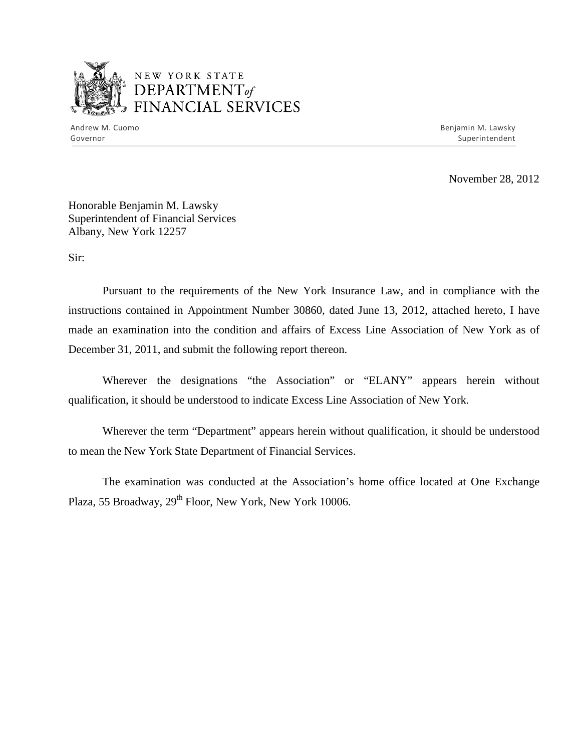

## NEW YORK STATE <sup>1</sup>*DEPARTMENTof*  FINANCIAL SERVICES

Andrew M. Cuomo **Benjamin M. Lawsky** Governor Superintendent Superintendent Superintendent Superintendent Superintendent Superintendent Superintendent

November 28, 2012

Honorable Benjamin M. Lawsky Superintendent of Financial Services Albany, New York 12257

Sir:

Pursuant to the requirements of the New York Insurance Law, and in compliance with the instructions contained in Appointment Number 30860, dated June 13, 2012, attached hereto, I have made an examination into the condition and affairs of Excess Line Association of New York as of December 31, 2011, and submit the following report thereon.

Wherever the designations "the Association" or "ELANY" appears herein without qualification, it should be understood to indicate Excess Line Association of New York.

Wherever the term "Department" appears herein without qualification, it should be understood to mean the New York State Department of Financial Services.

The examination was conducted at the Association's home office located at One Exchange Plaza, 55 Broadway, 29<sup>th</sup> Floor, New York, New York 10006.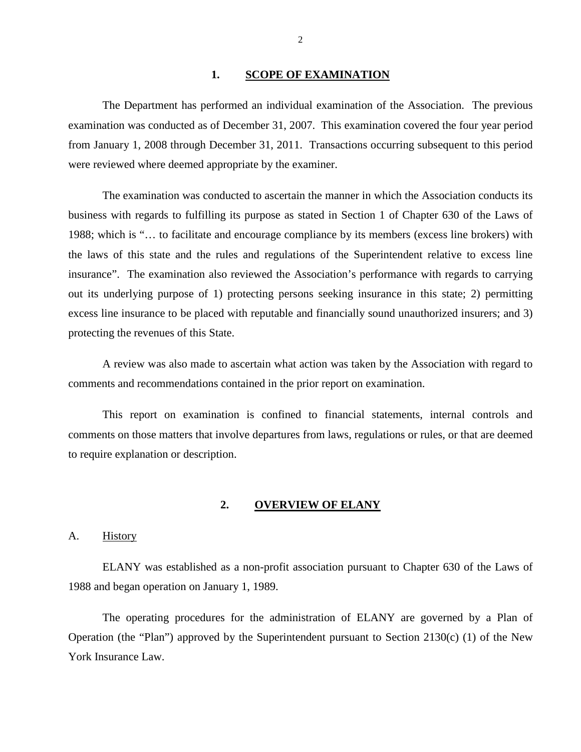#### <span id="page-3-0"></span>1. SCOPE OF EXAMINATION

The Department has performed an individual examination of the Association. The previous examination was conducted as of December 31, 2007. This examination covered the four year period from January 1, 2008 through December 31, 2011. Transactions occurring subsequent to this period were reviewed where deemed appropriate by the examiner.

The examination was conducted to ascertain the manner in which the Association conducts its business with regards to fulfilling its purpose as stated in Section 1 of Chapter 630 of the Laws of 1988; which is "… to facilitate and encourage compliance by its members (excess line brokers) with the laws of this state and the rules and regulations of the Superintendent relative to excess line insurance". The examination also reviewed the Association's performance with regards to carrying out its underlying purpose of 1) protecting persons seeking insurance in this state; 2) permitting excess line insurance to be placed with reputable and financially sound unauthorized insurers; and 3) protecting the revenues of this State.

A review was also made to ascertain what action was taken by the Association with regard to comments and recommendations contained in the prior report on examination.

This report on examination is confined to financial statements, internal controls and comments on those matters that involve departures from laws, regulations or rules, or that are deemed to require explanation or description.

#### <span id="page-3-1"></span>**2. OVERVIEW OF ELANY**

#### <span id="page-3-2"></span>A. History

ELANY was established as a non-profit association pursuant to Chapter 630 of the Laws of 1988 and began operation on January 1, 1989.

The operating procedures for the administration of ELANY are governed by a Plan of Operation (the "Plan") approved by the Superintendent pursuant to Section 2130(c) (1) of the New York Insurance Law.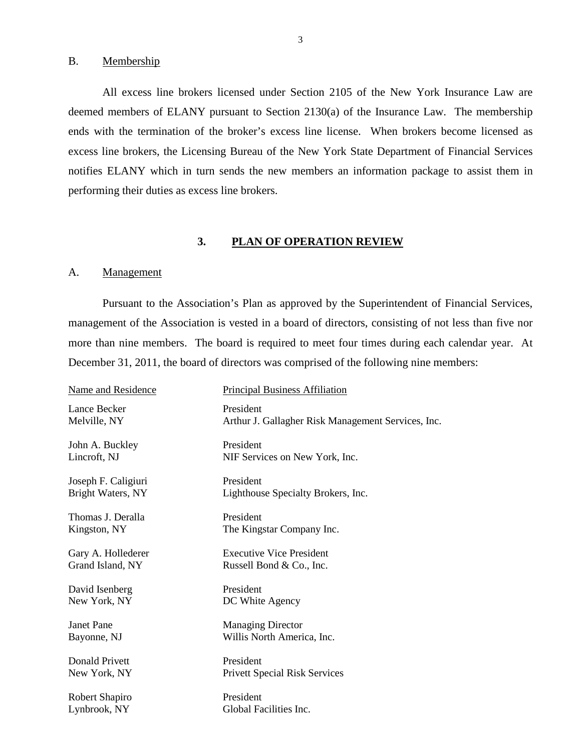#### <span id="page-4-0"></span>B. Membership

All excess line brokers licensed under Section 2105 of the New York Insurance Law are deemed members of ELANY pursuant to Section 2130(a) of the Insurance Law. The membership ends with the termination of the broker's excess line license. When brokers become licensed as excess line brokers, the Licensing Bureau of the New York State Department of Financial Services notifies ELANY which in turn sends the new members an information package to assist them in performing their duties as excess line brokers.

#### <span id="page-4-1"></span>**3. PLAN OF OPERATION REVIEW**

#### <span id="page-4-2"></span>A. Management

Pursuant to the Association's Plan as approved by the Superintendent of Financial Services, management of the Association is vested in a board of directors, consisting of not less than five nor more than nine members. The board is required to meet four times during each calendar year. At December 31, 2011, the board of directors was comprised of the following nine members:

| Name and Residence  | <b>Principal Business Affiliation</b>              |
|---------------------|----------------------------------------------------|
| Lance Becker        | President                                          |
| Melville, NY        | Arthur J. Gallagher Risk Management Services, Inc. |
| John A. Buckley     | President                                          |
| Lincroft, NJ        | NIF Services on New York, Inc.                     |
| Joseph F. Caligiuri | President                                          |
| Bright Waters, NY   | Lighthouse Specialty Brokers, Inc.                 |
| Thomas J. Deralla   | President                                          |
| Kingston, NY        | The Kingstar Company Inc.                          |
| Gary A. Hollederer  | <b>Executive Vice President</b>                    |
| Grand Island, NY    | Russell Bond & Co., Inc.                           |
| David Isenberg      | President                                          |
| New York, NY        | DC White Agency                                    |
| <b>Janet Pane</b>   | <b>Managing Director</b>                           |
| Bayonne, NJ         | Willis North America, Inc.                         |
| Donald Privett      | President                                          |
| New York, NY        | <b>Privett Special Risk Services</b>               |
| Robert Shapiro      | President                                          |
| Lynbrook, NY        | Global Facilities Inc.                             |
|                     |                                                    |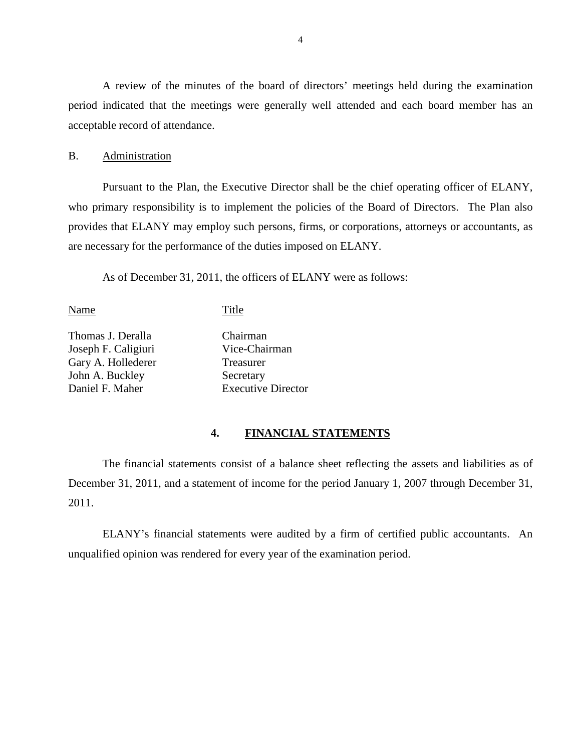A review of the minutes of the board of directors' meetings held during the examination period indicated that the meetings were generally well attended and each board member has an acceptable record of attendance.

### <span id="page-5-0"></span>B. Administration

Pursuant to the Plan, the Executive Director shall be the chief operating officer of ELANY, who primary responsibility is to implement the policies of the Board of Directors. The Plan also provides that ELANY may employ such persons, firms, or corporations, attorneys or accountants, as are necessary for the performance of the duties imposed on ELANY.

As of December 31, 2011, the officers of ELANY were as follows:

Name Title

Thomas J. Deralla Joseph F. Caligiuri Gary A. Hollederer John A. Buckley Daniel F. Maher

Chairman Vice-Chairman Treasurer Secretary Executive Director

#### <span id="page-5-1"></span>**4. FINANCIAL STATEMENTS**

The financial statements consist of a balance sheet reflecting the assets and liabilities as of December 31, 2011, and a statement of income for the period January 1, 2007 through December 31, 2011.

ELANY's financial statements were audited by a firm of certified public accountants. An unqualified opinion was rendered for every year of the examination period.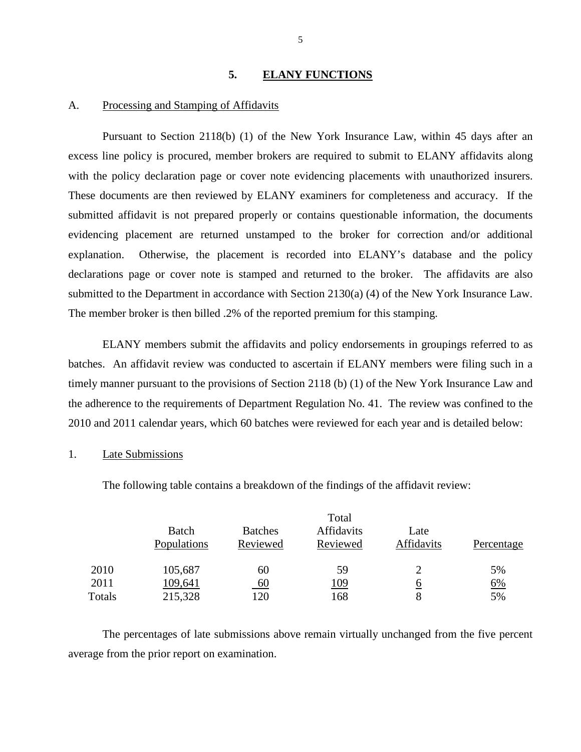#### <span id="page-6-0"></span>**5. ELANY FUNCTIONS**

#### <span id="page-6-1"></span>A. Processing and Stamping of Affidavits

Pursuant to Section 2118(b) (1) of the New York Insurance Law, within 45 days after an excess line policy is procured, member brokers are required to submit to ELANY affidavits along with the policy declaration page or cover note evidencing placements with unauthorized insurers. These documents are then reviewed by ELANY examiners for completeness and accuracy. If the submitted affidavit is not prepared properly or contains questionable information, the documents evidencing placement are returned unstamped to the broker for correction and/or additional explanation. Otherwise, the placement is recorded into ELANY's database and the policy declarations page or cover note is stamped and returned to the broker. The affidavits are also submitted to the Department in accordance with Section 2130(a) (4) of the New York Insurance Law. The member broker is then billed .2% of the reported premium for this stamping.

ELANY members submit the affidavits and policy endorsements in groupings referred to as batches. An affidavit review was conducted to ascertain if ELANY members were filing such in a timely manner pursuant to the provisions of Section 2118 (b) (1) of the New York Insurance Law and the adherence to the requirements of Department Regulation No. 41. The review was confined to the 2010 and 2011 calendar years, which 60 batches were reviewed for each year and is detailed below:

### 1. Late Submissions

The following table contains a breakdown of the findings of the affidavit review:

|        | Total                |                            |                        |                           |            |
|--------|----------------------|----------------------------|------------------------|---------------------------|------------|
|        | Batch<br>Populations | <b>Batches</b><br>Reviewed | Affidavits<br>Reviewed | Late<br><b>Affidavits</b> | Percentage |
| 2010   | 105,687              | 60                         | 59                     |                           | 5%         |
| 2011   | 109,641              | $\underline{60}$           | <u> 109</u>            | <u>t</u>                  | 6%         |
| Totals | 215,328              | 120                        | 168                    | 8                         | 5%         |

The percentages of late submissions above remain virtually unchanged from the five percent average from the prior report on examination.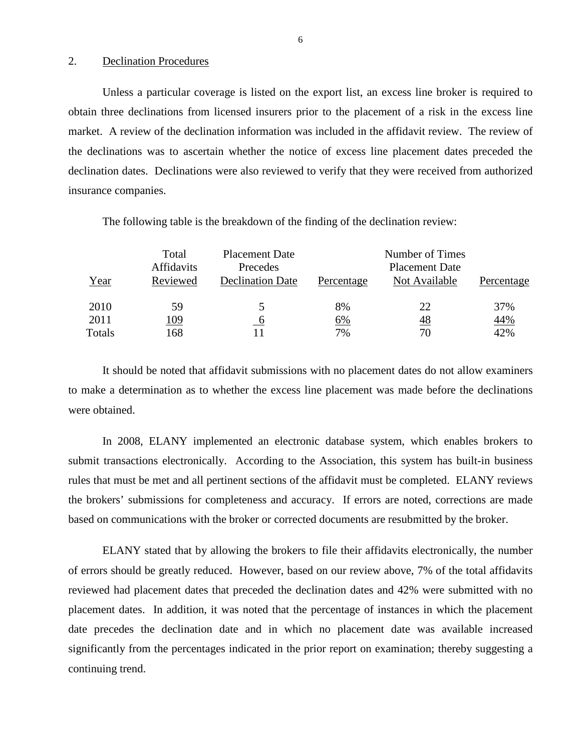#### 2. Declination Procedures

Unless a particular coverage is listed on the export list, an excess line broker is required to obtain three declinations from licensed insurers prior to the placement of a risk in the excess line market. A review of the declination information was included in the affidavit review. The review of the declinations was to ascertain whether the notice of excess line placement dates preceded the declination dates. Declinations were also reviewed to verify that they were received from authorized insurance companies.

| Year   | Total<br><b>Affidavits</b><br>Reviewed | <b>Placement Date</b><br>Precedes<br><b>Declination Date</b> | Percentage | Number of Times<br><b>Placement Date</b><br>Not Available | Percentage |
|--------|----------------------------------------|--------------------------------------------------------------|------------|-----------------------------------------------------------|------------|
| 2010   | 59                                     |                                                              | 8%         | 22                                                        | 37%        |
| 2011   | 109                                    | $\mathbf b$                                                  | 6%         | <u>48</u>                                                 | <u>44%</u> |
| Totals | 168                                    |                                                              | 7%         | 70                                                        | 42%        |

The following table is the breakdown of the finding of the declination review:

It should be noted that affidavit submissions with no placement dates do not allow examiners to make a determination as to whether the excess line placement was made before the declinations were obtained.

In 2008, ELANY implemented an electronic database system, which enables brokers to submit transactions electronically. According to the Association, this system has built-in business rules that must be met and all pertinent sections of the affidavit must be completed. ELANY reviews the brokers' submissions for completeness and accuracy. If errors are noted, corrections are made based on communications with the broker or corrected documents are resubmitted by the broker.

ELANY stated that by allowing the brokers to file their affidavits electronically, the number of errors should be greatly reduced. However, based on our review above, 7% of the total affidavits reviewed had placement dates that preceded the declination dates and 42% were submitted with no placement dates. In addition, it was noted that the percentage of instances in which the placement date precedes the declination date and in which no placement date was available increased significantly from the percentages indicated in the prior report on examination; thereby suggesting a continuing trend.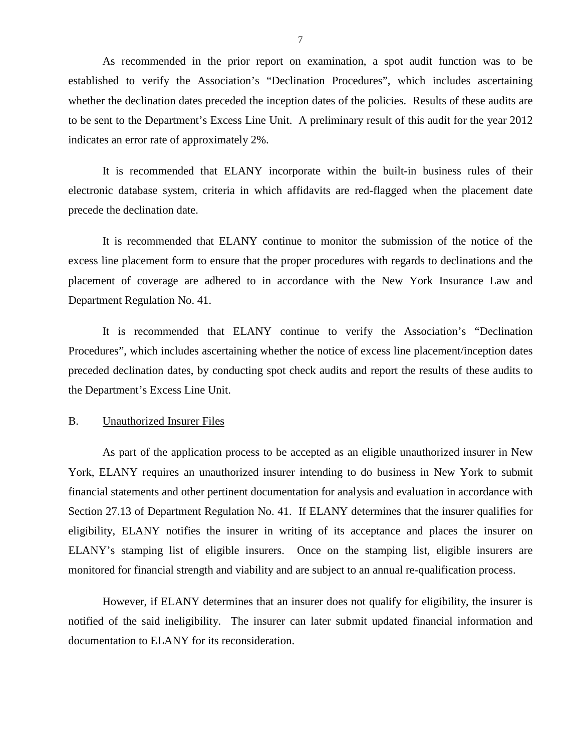As recommended in the prior report on examination, a spot audit function was to be established to verify the Association's "Declination Procedures", which includes ascertaining whether the declination dates preceded the inception dates of the policies. Results of these audits are to be sent to the Department's Excess Line Unit. A preliminary result of this audit for the year 2012 indicates an error rate of approximately 2%.

<span id="page-8-1"></span>It is recommended that ELANY incorporate within the built-in business rules of their electronic database system, criteria in which affidavits are red-flagged when the placement date precede the declination date.

<span id="page-8-2"></span>It is recommended that ELANY continue to monitor the submission of the notice of the excess line placement form to ensure that the proper procedures with regards to declinations and the placement of coverage are adhered to in accordance with the New York Insurance Law and Department Regulation No. 41.

<span id="page-8-3"></span>It is recommended that ELANY continue to verify the Association's "Declination Procedures", which includes ascertaining whether the notice of excess line placement/inception dates preceded declination dates, by conducting spot check audits and report the results of these audits to the Department's Excess Line Unit.

#### <span id="page-8-0"></span>B. Unauthorized Insurer Files

As part of the application process to be accepted as an eligible unauthorized insurer in New York, ELANY requires an unauthorized insurer intending to do business in New York to submit financial statements and other pertinent documentation for analysis and evaluation in accordance with Section 27.13 of Department Regulation No. 41. If ELANY determines that the insurer qualifies for eligibility, ELANY notifies the insurer in writing of its acceptance and places the insurer on ELANY's stamping list of eligible insurers. Once on the stamping list, eligible insurers are monitored for financial strength and viability and are subject to an annual re-qualification process.

However, if ELANY determines that an insurer does not qualify for eligibility, the insurer is notified of the said ineligibility. The insurer can later submit updated financial information and documentation to ELANY for its reconsideration.

7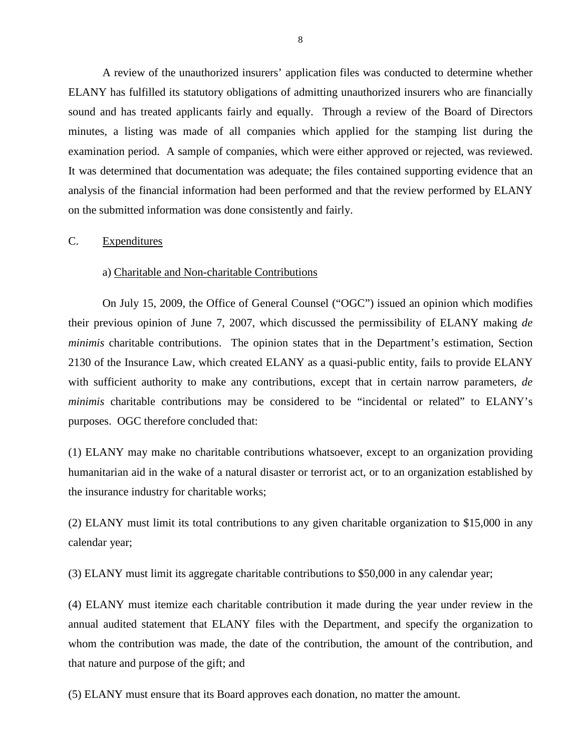A review of the unauthorized insurers' application files was conducted to determine whether ELANY has fulfilled its statutory obligations of admitting unauthorized insurers who are financially sound and has treated applicants fairly and equally. Through a review of the Board of Directors minutes, a listing was made of all companies which applied for the stamping list during the examination period. A sample of companies, which were either approved or rejected, was reviewed. It was determined that documentation was adequate; the files contained supporting evidence that an analysis of the financial information had been performed and that the review performed by ELANY on the submitted information was done consistently and fairly.

#### <span id="page-9-0"></span>C. Expenditures

#### a) Charitable and Non-charitable Contributions

On July 15, 2009, the Office of General Counsel ("OGC") issued an opinion which modifies their previous opinion of June 7, 2007, which discussed the permissibility of ELANY making *de minimis* charitable contributions. The opinion states that in the Department's estimation, Section 2130 of the Insurance Law, which created ELANY as a quasi-public entity, fails to provide ELANY with sufficient authority to make any contributions, except that in certain narrow parameters, *de minimis* charitable contributions may be considered to be "incidental or related" to ELANY's purposes. OGC therefore concluded that:

(1) ELANY may make no charitable contributions whatsoever, except to an organization providing humanitarian aid in the wake of a natural disaster or terrorist act, or to an organization established by the insurance industry for charitable works;

(2) ELANY must limit its total contributions to any given charitable organization to \$15,000 in any calendar year;

(3) ELANY must limit its aggregate charitable contributions to \$50,000 in any calendar year;

(4) ELANY must itemize each charitable contribution it made during the year under review in the annual audited statement that ELANY files with the Department, and specify the organization to whom the contribution was made, the date of the contribution, the amount of the contribution, and that nature and purpose of the gift; and

(5) ELANY must ensure that its Board approves each donation, no matter the amount.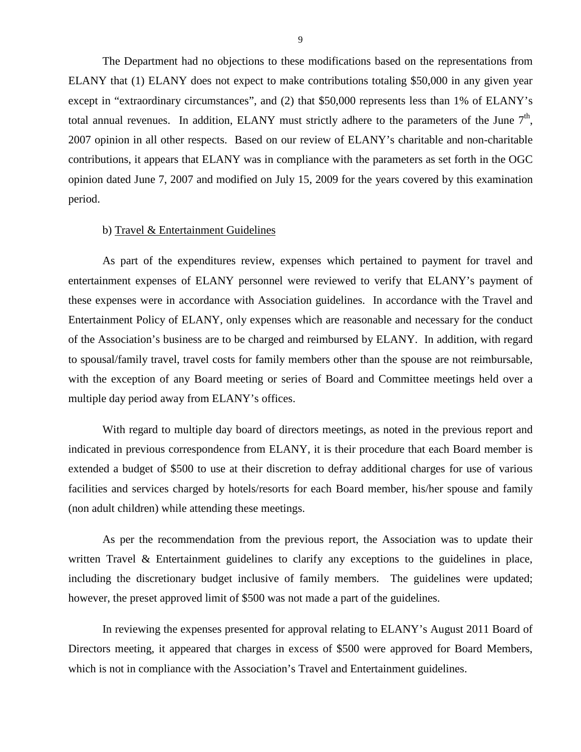The Department had no objections to these modifications based on the representations from ELANY that (1) ELANY does not expect to make contributions totaling \$50,000 in any given year except in "extraordinary circumstances", and (2) that \$50,000 represents less than 1% of ELANY's total annual revenues. In addition, ELANY must strictly adhere to the parameters of the June  $7<sup>th</sup>$ , 2007 opinion in all other respects. Based on our review of ELANY's charitable and non-charitable contributions, it appears that ELANY was in compliance with the parameters as set forth in the OGC opinion dated June 7, 2007 and modified on July 15, 2009 for the years covered by this examination period.

#### b) Travel & Entertainment Guidelines

As part of the expenditures review, expenses which pertained to payment for travel and entertainment expenses of ELANY personnel were reviewed to verify that ELANY's payment of these expenses were in accordance with Association guidelines. In accordance with the Travel and Entertainment Policy of ELANY, only expenses which are reasonable and necessary for the conduct of the Association's business are to be charged and reimbursed by ELANY. In addition, with regard to spousal/family travel, travel costs for family members other than the spouse are not reimbursable, with the exception of any Board meeting or series of Board and Committee meetings held over a multiple day period away from ELANY's offices.

With regard to multiple day board of directors meetings, as noted in the previous report and indicated in previous correspondence from ELANY, it is their procedure that each Board member is extended a budget of \$500 to use at their discretion to defray additional charges for use of various facilities and services charged by hotels/resorts for each Board member, his/her spouse and family (non adult children) while attending these meetings.

As per the recommendation from the previous report, the Association was to update their written Travel & Entertainment guidelines to clarify any exceptions to the guidelines in place, including the discretionary budget inclusive of family members. The guidelines were updated; however, the preset approved limit of \$500 was not made a part of the guidelines.

In reviewing the expenses presented for approval relating to ELANY's August 2011 Board of Directors meeting, it appeared that charges in excess of \$500 were approved for Board Members, which is not in compliance with the Association's Travel and Entertainment guidelines.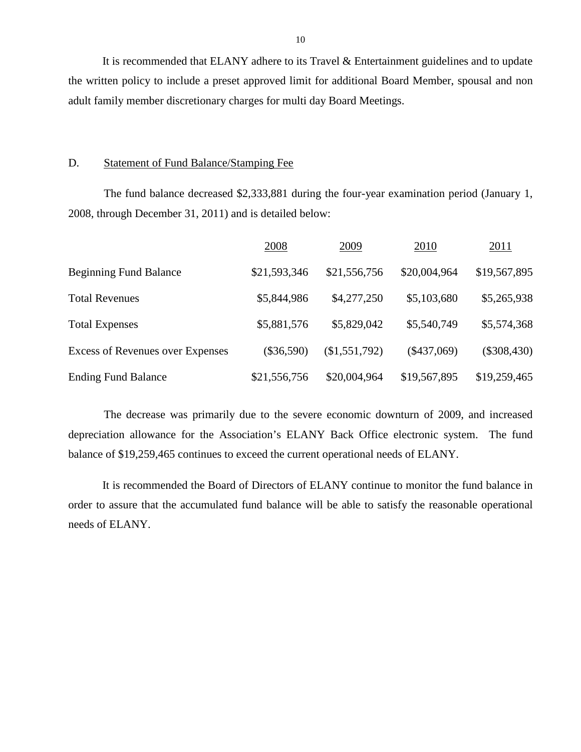<span id="page-11-1"></span>It is recommended that ELANY adhere to its Travel & Entertainment guidelines and to update the written policy to include a preset approved limit for additional Board Member, spousal and non adult family member discretionary charges for multi day Board Meetings.

### <span id="page-11-0"></span>D. Statement of Fund Balance/Stamping Fee

The fund balance decreased \$2,333,881 during the four-year examination period (January 1, 2008, through December 31, 2011) and is detailed below:

|                                         | 2008         | 2009          | 2010          | 2011          |
|-----------------------------------------|--------------|---------------|---------------|---------------|
| <b>Beginning Fund Balance</b>           | \$21,593,346 | \$21,556,756  | \$20,004,964  | \$19,567,895  |
| <b>Total Revenues</b>                   | \$5,844,986  | \$4,277,250   | \$5,103,680   | \$5,265,938   |
| <b>Total Expenses</b>                   | \$5,881,576  | \$5,829,042   | \$5,540,749   | \$5,574,368   |
| <b>Excess of Revenues over Expenses</b> | $(\$36,590)$ | (\$1,551,792) | $(\$437,069)$ | $(\$308,430)$ |
| <b>Ending Fund Balance</b>              | \$21,556,756 | \$20,004,964  | \$19,567,895  | \$19,259,465  |

The decrease was primarily due to the severe economic downturn of 2009, and increased depreciation allowance for the Association's ELANY Back Office electronic system. The fund balance of \$19,259,465 continues to exceed the current operational needs of ELANY.

<span id="page-11-2"></span>It is recommended the Board of Directors of ELANY continue to monitor the fund balance in order to assure that the accumulated fund balance will be able to satisfy the reasonable operational needs of ELANY.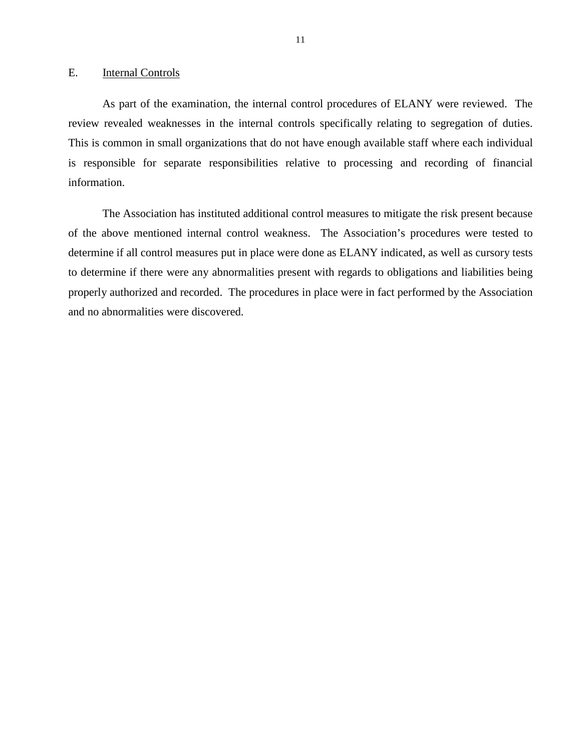#### <span id="page-12-0"></span>E. Internal Controls

As part of the examination, the internal control procedures of ELANY were reviewed. The review revealed weaknesses in the internal controls specifically relating to segregation of duties. This is common in small organizations that do not have enough available staff where each individual is responsible for separate responsibilities relative to processing and recording of financial information.

The Association has instituted additional control measures to mitigate the risk present because of the above mentioned internal control weakness. The Association's procedures were tested to determine if all control measures put in place were done as ELANY indicated, as well as cursory tests to determine if there were any abnormalities present with regards to obligations and liabilities being properly authorized and recorded. The procedures in place were in fact performed by the Association and no abnormalities were discovered.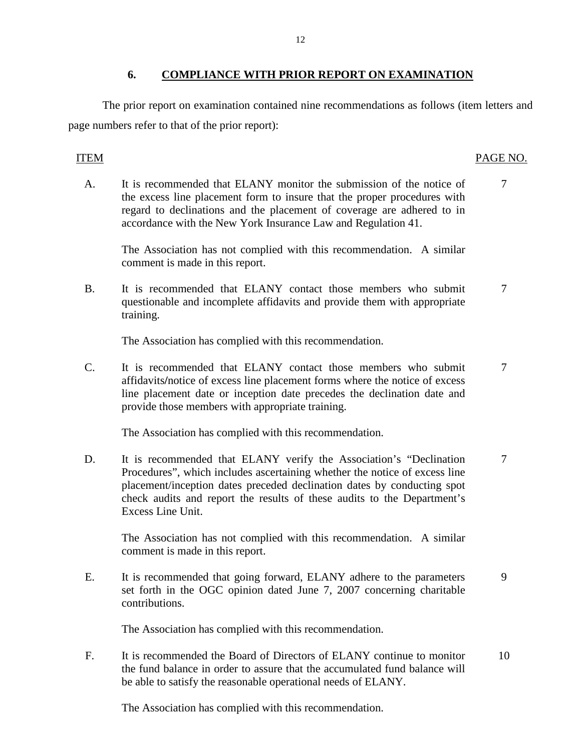## <span id="page-13-0"></span>**6. COMPLIANCE WITH PRIOR REPORT ON EXAMINATION**

The prior report on examination contained nine recommendations as follows (item letters and page numbers refer to that of the prior report):

## ITEM PAGE NO.

A. It is recommended that ELANY monitor the submission of the notice of 7 the excess line placement form to insure that the proper procedures with regard to declinations and the placement of coverage are adhered to in accordance with the New York Insurance Law and Regulation 41.

The Association has not complied with this recommendation. A similar comment is made in this report.

B. It is recommended that ELANY contact those members who submit  $\frac{7}{7}$ questionable and incomplete affidavits and provide them with appropriate training.

The Association has complied with this recommendation.

C. It is recommended that ELANY contact those members who submit 7 affidavits**/**notice of excess line placement forms where the notice of excess line placement date or inception date precedes the declination date and provide those members with appropriate training.

The Association has complied with this recommendation.

D. It is recommended that ELANY verify the Association's "Declination 7 Procedures", which includes ascertaining whether the notice of excess line placement/inception dates preceded declination dates by conducting spot check audits and report the results of these audits to the Department's Excess Line Unit.

The Association has not complied with this recommendation. A similar comment is made in this report.

E. It is recommended that going forward, ELANY adhere to the parameters 9 set forth in the OGC opinion dated June 7, 2007 concerning charitable contributions.

The Association has complied with this recommendation.

F. It is recommended the Board of Directors of ELANY continue to monitor 10 the fund balance in order to assure that the accumulated fund balance will be able to satisfy the reasonable operational needs of ELANY.

The Association has complied with this recommendation.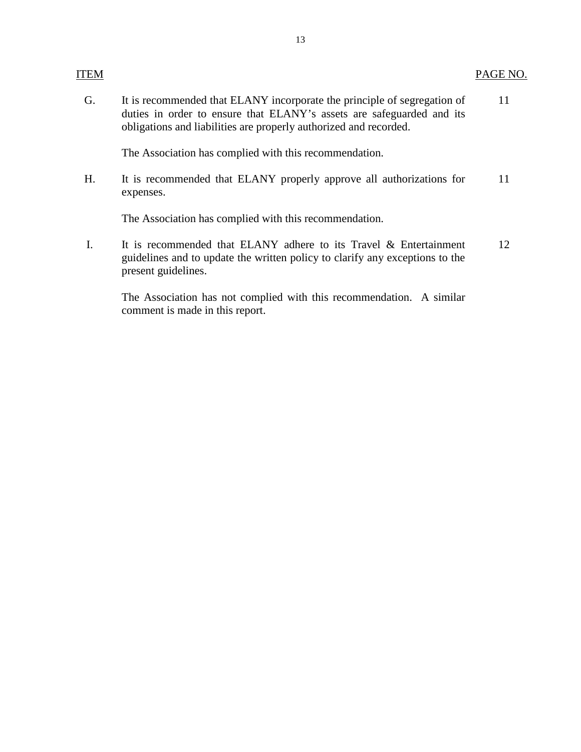G. It is recommended that ELANY incorporate the principle of segregation of 11 duties in order to ensure that ELANY's assets are safeguarded and its obligations and liabilities are properly authorized and recorded.

The Association has complied with this recommendation.

H. It is recommended that ELANY properly approve all authorizations for 11 expenses.

The Association has complied with this recommendation.

I. It is recommended that ELANY adhere to its Travel & Entertainment 12 guidelines and to update the written policy to clarify any exceptions to the present guidelines.

The Association has not complied with this recommendation. A similar comment is made in this report.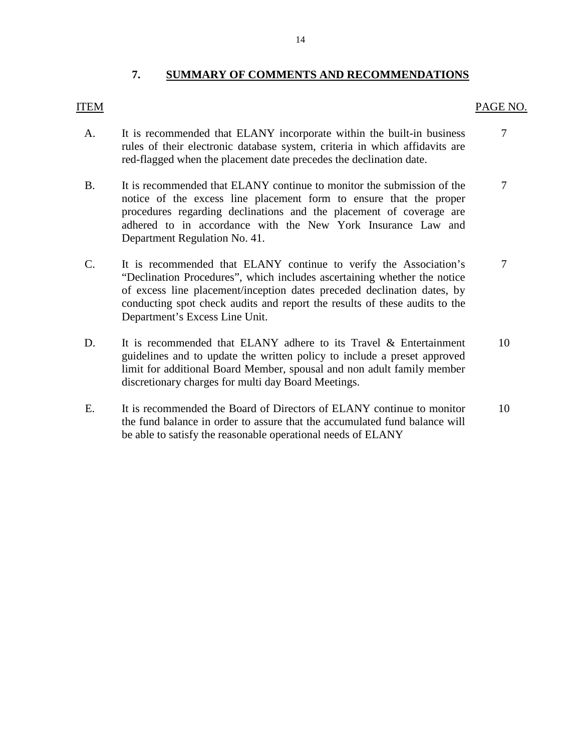### <span id="page-15-0"></span>**7. SUMMARY OF COMMENTS AND RECOMMENDATIONS**

## ITEM PAGE NO.

- A. It is recommended that ELANY incorporate within the built-in business  $\overline{7}$ rules of their electronic database system, criteria in which affidavits are red-flagged when the placement date precedes the declination date.
- B. It is recommended that ELANY continue to monitor the submission of the [7](#page-8-2)  notice of the excess line placement form to ensure that the proper procedures regarding declinations and the placement of coverage are adhered to in accordance with the New York Insurance Law and Department Regulation No. 41.
- C. It is recommended that ELANY continue to verify the Association's 7 "Declination Procedures", which includes ascertaining whether the notice of excess line placement/inception dates preceded declination dates, by conducting spot check audits and report the results of these audits to the Department's Excess Line Unit.
- D. It is recommended that ELANY adhere to its Travel & Entertainment 10 guidelines and to update the written policy to include a preset approved limit for additional Board Member, spousal and non adult family member discretionary charges for multi day Board Meetings.
- E. It is recommended the Board of Directors of ELANY continue to monitor 10 the fund balance in order to assure that the accumulated fund balance will be able to satisfy the reasonable operational needs of ELANY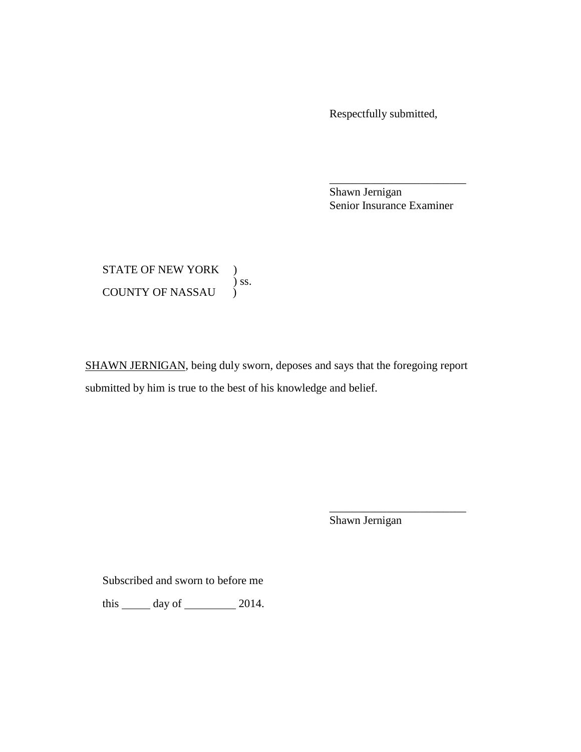Respectfully submitted,

Shawn Jernigan Senior Insurance Examiner

\_\_\_\_\_\_\_\_\_\_\_\_\_\_\_\_\_\_\_\_\_\_\_\_

STATE OF NEW YORK ) ) ss. COUNTY OF NASSAU

SHAWN JERNIGAN, being duly sworn, deposes and says that the foregoing report submitted by him is true to the best of his knowledge and belief.

Shawn Jernigan

\_\_\_\_\_\_\_\_\_\_\_\_\_\_\_\_\_\_\_\_\_\_\_\_

Subscribed and sworn to before me

this  $\_\_\_\$  day of  $\_\_\_\_\_\$  2014.